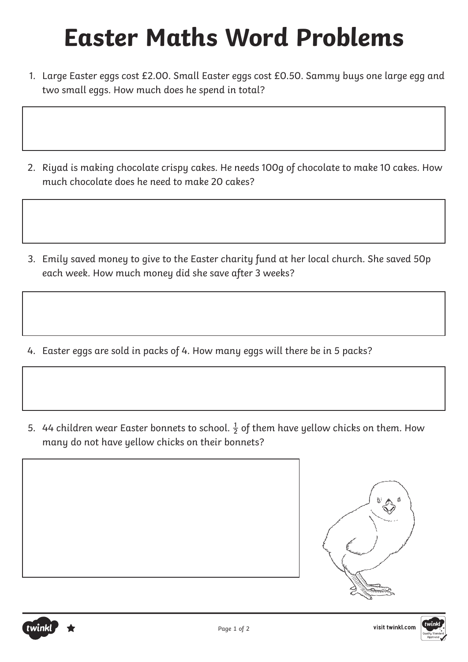- 1. Large Easter eggs cost £2.00. Small Easter eggs cost £0.50. Sammy buys one large egg and two small eggs. How much does he spend in total?
- 2. Riyad is making chocolate crispy cakes. He needs 100g of chocolate to make 10 cakes. How much chocolate does he need to make 20 cakes?
- 3. Emily saved money to give to the Easter charity fund at her local church. She saved 50p each week. How much money did she save after 3 weeks?
- 4. Easter eggs are sold in packs of 4. How many eggs will there be in 5 packs?
- 5. 44 children wear Easter bonnets to school.  $\frac{1}{2}$  of them have yellow chicks on them. How many do not have yellow chicks on their bonnets?



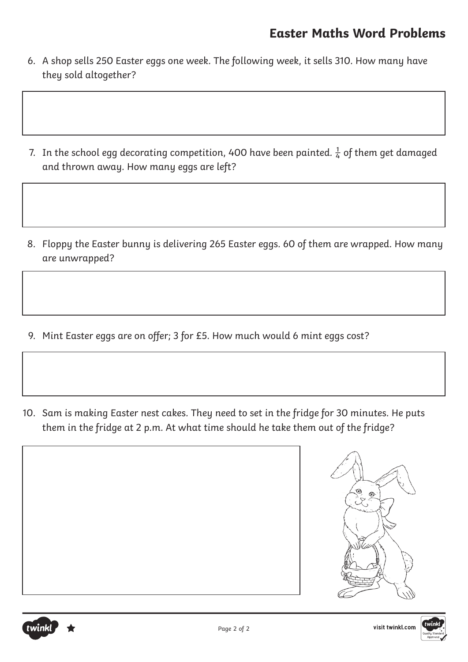- 6. A shop sells 250 Easter eggs one week. The following week, it sells 310. How many have they sold altogether?
- 7. In the school egg decorating competition, 400 have been painted.  $\frac{1}{4}$  of them get damaged and thrown away. How many eggs are left?
- 8. Floppy the Easter bunny is delivering 265 Easter eggs. 60 of them are wrapped. How many are unwrapped?
- 9. Mint Easter eggs are on offer; 3 for £5. How much would 6 mint eggs cost?
- 10. Sam is making Easter nest cakes. They need to set in the fridge for 30 minutes. He puts them in the fridge at 2 p.m. At what time should he take them out of the fridge?



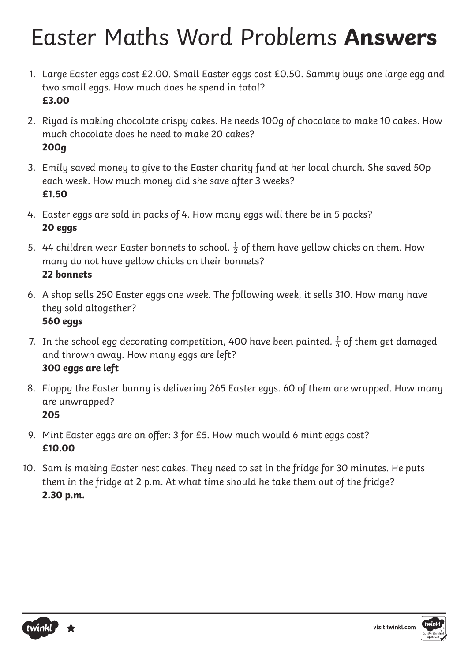- 1. Large Easter eggs cost £2.00. Small Easter eggs cost £0.50. Sammy buys one large egg and two small eggs. How much does he spend in total? **£3.00**
- 2. Riyad is making chocolate crispy cakes. He needs 100g of chocolate to make 10 cakes. How much chocolate does he need to make 20 cakes? **200g**
- 3. Emily saved money to give to the Easter charity fund at her local church. She saved 50p each week. How much money did she save after 3 weeks? **£1.50**
- 4. Easter eggs are sold in packs of 4. How many eggs will there be in 5 packs? **20 eggs**
- 5. 44 children wear Easter bonnets to school.  $\frac{1}{2}$  of them have yellow chicks on them. How many do not have yellow chicks on their bonnets? **22 bonnets**
- 6. A shop sells 250 Easter eggs one week. The following week, it sells 310. How many have they sold altogether? **560 eggs**
- 7. In the school egg decorating competition, 400 have been painted.  $\frac{1}{4}$  of them get damaged and thrown away. How many eggs are left? **300 eggs are left**
- 8. Floppy the Easter bunny is delivering 265 Easter eggs. 60 of them are wrapped. How many are unwrapped? **205**
- 9. Mint Easter eggs are on offer: 3 for £5. How much would 6 mint eggs cost? **£10.00**
- 10. Sam is making Easter nest cakes. They need to set in the fridge for 30 minutes. He puts them in the fridge at 2 p.m. At what time should he take them out of the fridge? **2.30 p.m.**



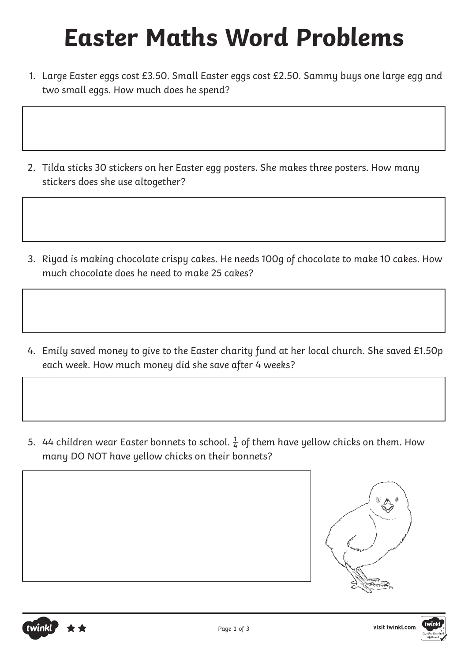- 1. Large Easter eggs cost £3.50. Small Easter eggs cost £2.50. Sammy buys one large egg and two small eggs. How much does he spend?
- 2. Tilda sticks 30 stickers on her Easter egg posters. She makes three posters. How many stickers does she use altogether?
- 3. Riyad is making chocolate crispy cakes. He needs 100g of chocolate to make 10 cakes. How much chocolate does he need to make 25 cakes?
- 4. Emily saved money to give to the Easter charity fund at her local church. She saved £1.50p each week. How much money did she save after 4 weeks?
- 5. 44 children wear Easter bonnets to school.  $\frac{1}{4}$  of them have yellow chicks on them. How many DO NOT have yellow chicks on their bonnets?





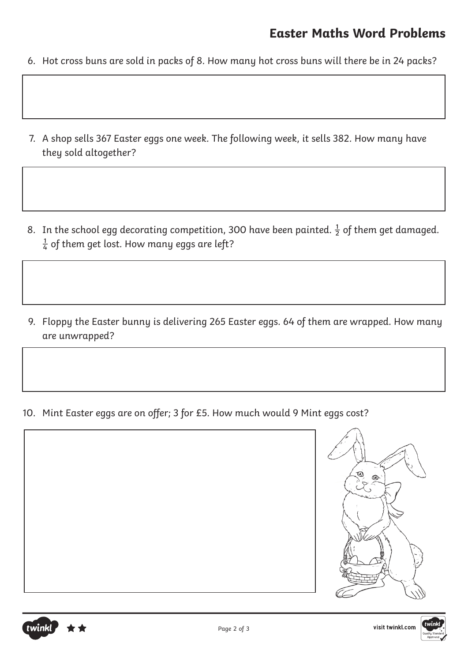- 6. Hot cross buns are sold in packs of 8. How many hot cross buns will there be in 24 packs?
- 7. A shop sells 367 Easter eggs one week. The following week, it sells 382. How many have they sold altogether?
- 8. In the school egg decorating competition, 300 have been painted.  $\frac{1}{2}$  of them get damaged.  $\frac{1}{4}$  of them get lost. How many eggs are left?
- 9. Floppy the Easter bunny is delivering 265 Easter eggs. 64 of them are wrapped. How many are unwrapped?

10. Mint Easter eggs are on offer; 3 for £5. How much would 9 Mint eggs cost?





twinkl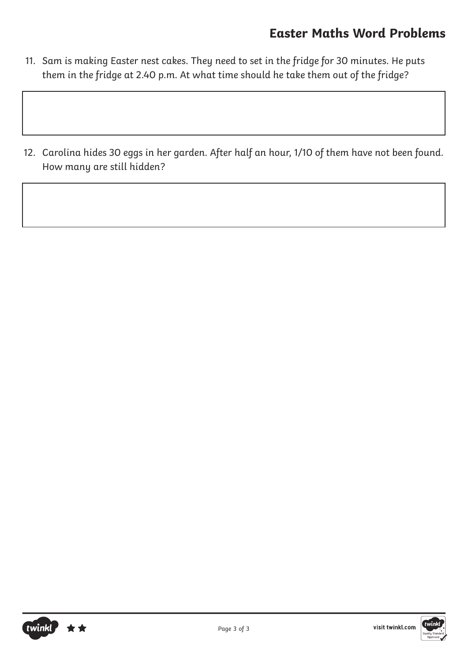- 11. Sam is making Easter nest cakes. They need to set in the fridge for 30 minutes. He puts them in the fridge at 2.40 p.m. At what time should he take them out of the fridge?
- 12. Carolina hides 30 eggs in her garden. After half an hour, 1/10 of them have not been found. How many are still hidden?



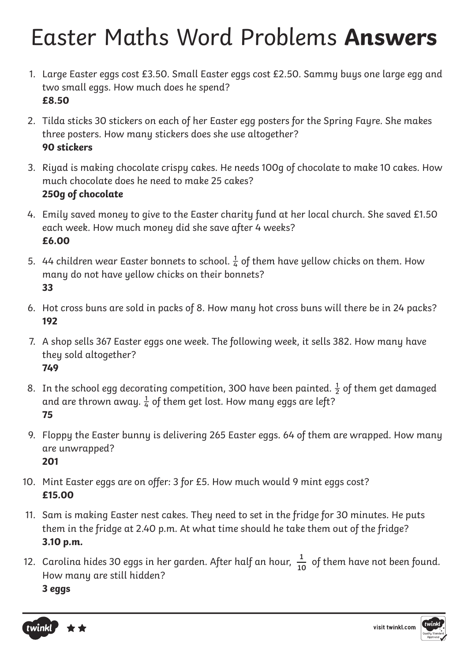- 1. Large Easter eggs cost £3.50. Small Easter eggs cost £2.50. Sammy buys one large egg and two small eggs. How much does he spend? **£8.50**
- 2. Tilda sticks 30 stickers on each of her Easter egg posters for the Spring Fayre. She makes three posters. How many stickers does she use altogether? **90 stickers**
- 3. Riyad is making chocolate crispy cakes. He needs 100g of chocolate to make 10 cakes. How much chocolate does he need to make 25 cakes? **250g of chocolate**
- 4. Emily saved money to give to the Easter charity fund at her local church. She saved £1.50 each week. How much money did she save after 4 weeks? **£6.00**
- 5. 44 children wear Easter bonnets to school.  $\frac{1}{4}$  of them have yellow chicks on them. How many do not have yellow chicks on their bonnets? **33**
- 6. Hot cross buns are sold in packs of 8. How many hot cross buns will there be in 24 packs? **192**
- 7. A shop sells 367 Easter eggs one week. The following week, it sells 382. How many have they sold altogether? **749**
- 8. In the school egg decorating competition, 300 have been painted.  $\frac{1}{2}$  of them get damaged and are thrown away.  $\frac{1}{4}$  of them get lost. How many eggs are left? **75**
- 9. Floppy the Easter bunny is delivering 265 Easter eggs. 64 of them are wrapped. How many are unwrapped? **201**
- 10. Mint Easter eggs are on offer: 3 for £5. How much would 9 mint eggs cost? **£15.00**
- 11. Sam is making Easter nest cakes. They need to set in the fridge for 30 minutes. He puts them in the fridge at 2.40 p.m. At what time should he take them out of the fridge? **3.10 p.m.**
- 12. Carolina hides 30 eggs in her garden. After half an hour,  $\frac{1}{10}$  of them have not been found. How many are still hidden? **3 eggs 10**



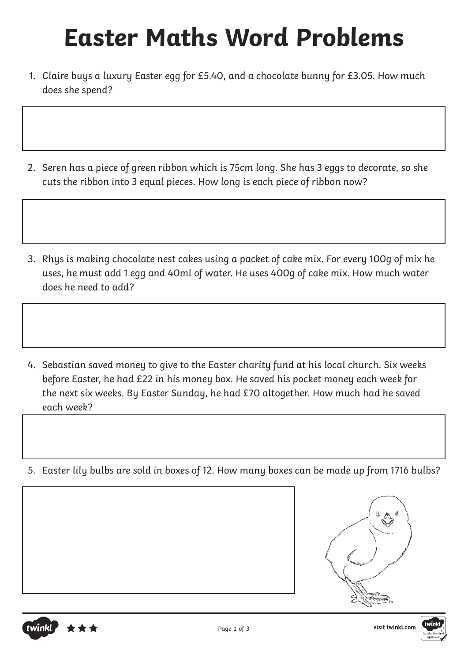- 1. Claire buys a luxury Easter egg for £5.40, and a chocolate bunny for £3.05. How much does she spend?
- 2. Seren has a piece of green ribbon which is 75cm long. She has 3 eggs to decorate, so she cuts the ribbon into 3 equal pieces. How long is each piece of ribbon now?
- 3. Rhys is making chocolate nest cakes using a packet of cake mix. For every 100g of mix he uses, he must add 1 egg and 40ml of water. He uses 400g of cake mix. How much water does he need to add?
- 4. Sebastian saved money to give to the Easter charity fund at his local church. Six weeks before Easter, he had £22 in his money box. He saved his pocket money each week for the next six weeks. By Easter Sunday, he had £70 altogether. How much had he saved each week?
- 5. Easter lily bulbs are sold in boxes of 12. How many boxes can be made up from 1716 bulbs?





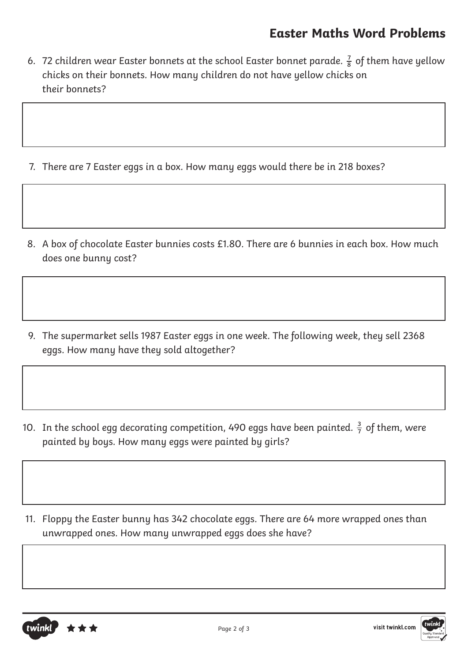- 6. 72 children wear Easter bonnets at the school Easter bonnet parade.  $\frac{7}{8}$  of them have yellow chicks on their bonnets. How many children do not have yellow chicks on their bonnets?
- 7. There are 7 Easter eggs in a box. How many eggs would there be in 218 boxes?
- 8. A box of chocolate Easter bunnies costs £1.80. There are 6 bunnies in each box. How much does one bunny cost?
- 9. The supermarket sells 1987 Easter eggs in one week. The following week, they sell 2368 eggs. How many have they sold altogether?
- 10. In the school egg decorating competition, 490 eggs have been painted.  $\frac{3}{7}$  of them, were painted by boys. How many eggs were painted by girls?
- 11. Floppy the Easter bunny has 342 chocolate eggs. There are 64 more wrapped ones than unwrapped ones. How many unwrapped eggs does she have?



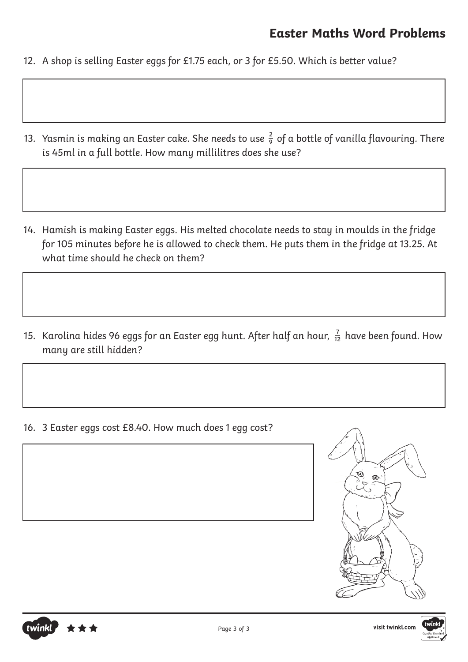- 12. A shop is selling Easter eggs for £1.75 each, or 3 for £5.50. Which is better value?
- 13. Yasmin is making an Easter cake. She needs to use  $\frac{2}{9}$  of a bottle of vanilla flavouring. There is 45ml in a full bottle. How many millilitres does she use?
- 14. Hamish is making Easter eggs. His melted chocolate needs to stay in moulds in the fridge for 105 minutes before he is allowed to check them. He puts them in the fridge at 13.25. At what time should he check on them?
- 15. Karolina hides 96 eggs for an Easter egg hunt. After half an hour,  $\frac{7}{12}$  have been found. How many are still hidden?

16. 3 Easter eggs cost £8.40. How much does 1 egg cost?



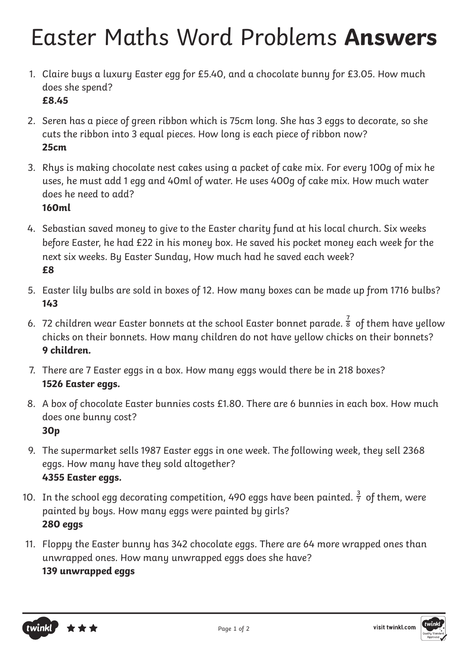- 1. Claire buys a luxury Easter egg for £5.40, and a chocolate bunny for £3.05. How much does she spend? **£8.45**
- 2. Seren has a piece of green ribbon which is 75cm long. She has 3 eggs to decorate, so she cuts the ribbon into 3 equal pieces. How long is each piece of ribbon now? **25cm**
- 3. Rhys is making chocolate nest cakes using a packet of cake mix. For every 100g of mix he uses, he must add 1 egg and 40ml of water. He uses 400g of cake mix. How much water does he need to add?
	- **160ml**
- 4. Sebastian saved money to give to the Easter charity fund at his local church. Six weeks before Easter, he had £22 in his money box. He saved his pocket money each week for the next six weeks. By Easter Sunday, How much had he saved each week? **£8**
- 5. Easter lily bulbs are sold in boxes of 12. How many boxes can be made up from 1716 bulbs? **143**
- 6. 72 children wear Easter bonnets at the school Easter bonnet parade.  $\frac{7}{8}$  of them have yellow chicks on their bonnets. How many children do not have yellow chicks on their bonnets? **9 children.**
- 7. There are 7 Easter eggs in a box. How many eggs would there be in 218 boxes? **1526 Easter eggs.**
- 8. A box of chocolate Easter bunnies costs £1.80. There are 6 bunnies in each box. How much does one bunny cost? **30p**
- 9. The supermarket sells 1987 Easter eggs in one week. The following week, they sell 2368 eggs. How many have they sold altogether? **4355 Easter eggs.**
- 10. In the school egg decorating competition, 490 eggs have been painted.  $\frac{3}{7}$  of them, were painted by boys. How many eggs were painted by girls? **280 eggs**
- 11. Floppy the Easter bunny has 342 chocolate eggs. There are 64 more wrapped ones than unwrapped ones. How many unwrapped eggs does she have? **139 unwrapped eggs**